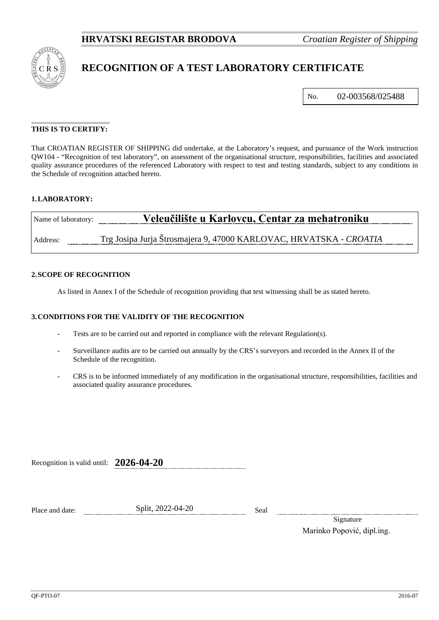

# **RECOGNITION OF A TEST LABORATORY CERTIFICATE**

No. 02-003568/025488

### **THIS IS TO CERTIFY:**

That CROATIAN REGISTER OF SHIPPING did undertake, at the Laboratory's request, and pursuance of the Work instruction QW104 - "Recognition of test laboratory", on assessment of the organisational structure, responsibilities, facilities and associated quality assurance procedures of the referenced Laboratory with respect to test and testing standards, subject to any conditions in the Schedule of recognition attached hereto.

## **1.LABORATORY:**

| Name of laboratory: | Veleučilište u Karlovcu, Centar za mehatroniku                     |
|---------------------|--------------------------------------------------------------------|
| Address:            | Trg Josipa Jurja Štrosmajera 9, 47000 KARLOVAC, HRVATSKA - CROATIA |

#### **2.SCOPE OF RECOGNITION**

As listed in Annex I of the Schedule of recognition providing that test witnessing shall be as stated hereto.

#### **3.CONDITIONS FOR THE VALIDITY OF THE RECOGNITION**

- Tests are to be carried out and reported in compliance with the relevant Regulation(s).
- Surveillance audits are to be carried out annually by the CRS's surveyors and recorded in the Annex II of the Schedule of the recognition.
- CRS is to be informed immediately of any modification in the organisational structure, responsibilities, facilities and associated quality assurance procedures.

Recognition is valid until: **2026-04-20**

Place and date: Split, 2022-04-20 Seal

Signature Marinko Popović, dipl.ing.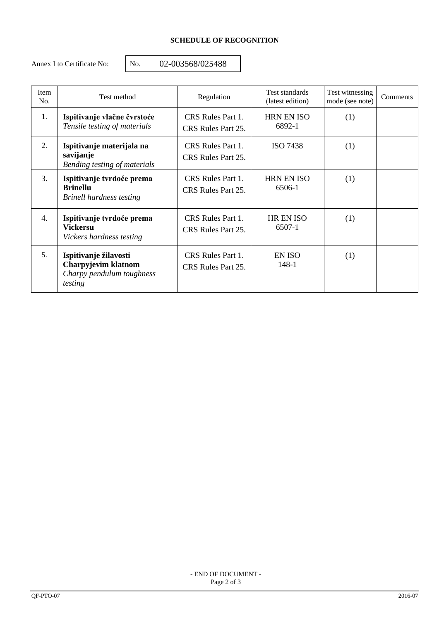# **SCHEDULE OF RECOGNITION**

Annex I to Certificate No: <br>No. 02-003568/025488

| <b>Item</b><br>No. | Test method                                                                          | Regulation                              | Test standards<br>(latest edition) | Test witnessing<br>mode (see note) | Comments |
|--------------------|--------------------------------------------------------------------------------------|-----------------------------------------|------------------------------------|------------------------------------|----------|
| 1.                 | Ispitivanje vlačne čvrstoće<br>Tensile testing of materials                          | CRS Rules Part 1.<br>CRS Rules Part 25. | <b>HRN EN ISO</b><br>6892-1        | (1)                                |          |
| 2.                 | Ispitivanje materijala na<br>savijanje<br>Bending testing of materials               | CRS Rules Part 1.<br>CRS Rules Part 25. | <b>ISO 7438</b>                    | (1)                                |          |
| 3.                 | Ispitivanje tvrdoće prema<br><b>Brinellu</b><br>Brinell hardness testing             | CRS Rules Part 1.<br>CRS Rules Part 25. | <b>HRN EN ISO</b><br>6506-1        | (1)                                |          |
| 4.                 | Ispitivanje tvrdoće prema<br><b>Vickersu</b><br>Vickers hardness testing             | CRS Rules Part 1.<br>CRS Rules Part 25. | <b>HR EN ISO</b><br>6507-1         | (1)                                |          |
| 5.                 | Ispitivanje žilavosti<br>Charpyjevim klatnom<br>Charpy pendulum toughness<br>testing | CRS Rules Part 1.<br>CRS Rules Part 25. | EN ISO<br>148-1                    | (1)                                |          |